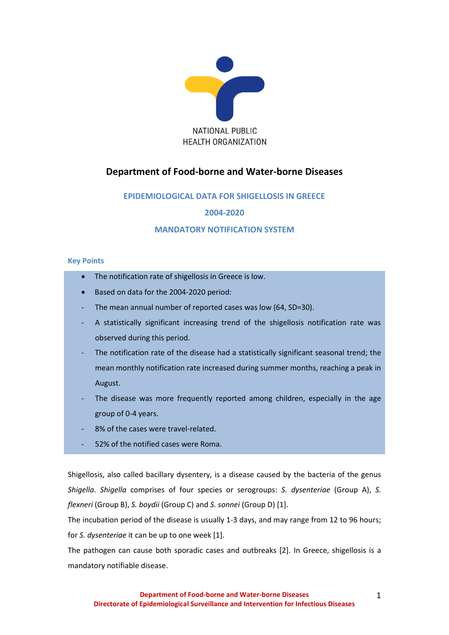

# **Department of Food-borne and Water-borne Diseases**

# **EPIDEMIOLOGICAL DATA FOR SHIGELLOSIS IN GREECE**

**2004-2020**

# **MANDATORY NOTIFICATION SYSTEM**

# **Key Points**

- The notification rate of shigellosis in Greece is low.
- Based on data for the 2004-2020 period:
- The mean annual number of reported cases was low (64, SD=30).
- A statistically significant increasing trend of the shigellosis notification rate was observed during this period.
- The notification rate of the disease had a statistically significant seasonal trend; the mean monthly notification rate increased during summer months, reaching a peak in August.
- The disease was more frequently reported among children, especially in the age group of 0-4 years.
- 8% of the cases were travel-related.
- 52% of the notified cases were Roma.

Shigellosis, also called bacillary dysentery, is a disease caused by the [bacteria](http://en.wikipedia.org/wiki/Bacterial_infection) of the genus *[Shigella](http://en.wikipedia.org/wiki/Shigella)*. *[Shigella](http://en.wikipedia.org/wiki/Shigella)* comprises of four species or serogroups: *S. dysenteriae* (Group Α), *S. flexneri* (Group Β), *S. boydii* (Group C) and *S. sonnei* (Group D) [1].

The incubation period of the disease is usually 1-3 days, and may range from 12 to 96 hours; for *S. dysenteriae* it can be up to one week [1].

The pathogen can cause both sporadic cases and outbreaks [2]. In Greece, shigellosis is a mandatory notifiable disease.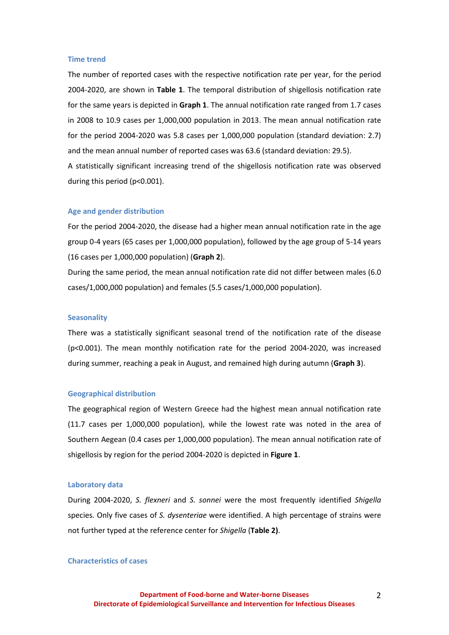### **Time trend**

The number of reported cases with the respective notification rate per year, for the period 2004-2020, are shown in **Table 1**. The temporal distribution of shigellosis notification rate for the same years is depicted in **Graph 1**. The annual notification rate ranged from 1.7 cases in 2008 to 10.9 cases per 1,000,000 population in 2013. The mean annual notification rate for the period 2004-2020 was 5.8 cases per 1,000,000 population (standard deviation: 2.7) and the mean annual number of reported cases was 63.6 (standard deviation: 29.5). A statistically significant increasing trend of the shigellosis notification rate was observed during this period (p<0.001).

#### **Age and gender distribution**

For the period 2004-2020, the disease had a higher mean annual notification rate in the age group 0-4 years (65 cases per 1,000,000 population), followed by the age group of 5-14 years (16 cases per 1,000,000 population) (**Graph 2**).

During the same period, the mean annual notification rate did not differ between males (6.0 cases/1,000,000 population) and females (5.5 cases/1,000,000 population).

#### **Seasonality**

There was a statistically significant seasonal trend of the notification rate of the disease (p<0.001). The mean monthly notification rate for the period 2004-2020, was increased during summer, reaching a peak in August, and remained high during autumn (**Graph 3**).

#### **Geographical distribution**

The geographical region of Western Greece had the highest mean annual notification rate (11.7 cases per 1,000,000 population), while the lowest rate was noted in the area of Southern Aegean (0.4 cases per 1,000,000 population). The mean annual notification rate of shigellosis by region for the period 2004-2020 is depicted in **Figure 1**.

### **Laboratory data**

During 2004-2020, *S. flexneri* and *S. sonnei* were the most frequently identified *Shigella* species*.* Only five cases of *S. dysenteriae* were identified. A high percentage of strains were not further typed at the reference center for *Shigella* (**Table 2)**.

### **Characteristics of cases**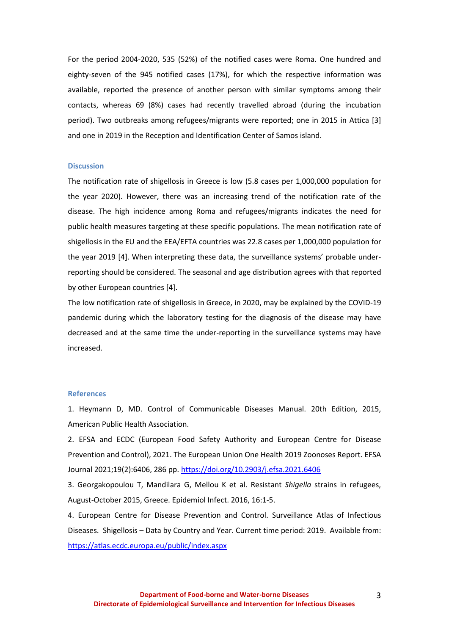For the period 2004-2020, 535 (52%) of the notified cases were Roma. One hundred and eighty-seven of the 945 notified cases (17%), for which the respective information was available, reported the presence of another person with similar symptoms among their contacts, whereas 69 (8%) cases had recently travelled abroad (during the incubation period). Two outbreaks among refugees/migrants were reported; one in 2015 in Attica [3] and one in 2019 in the Reception and Identification Center of Samos island.

# **Discussion**

The notification rate of shigellosis in Greece is low (5.8 cases per 1,000,000 population for the year 2020). However, there was an increasing trend of the notification rate of the disease. The high incidence among Roma and refugees/migrants indicates the need for public health measures targeting at these specific populations. The mean notification rate of shigellosis in the EU and the EEA/EFTA countries was 22.8 cases per 1,000,000 population for the year 2019 [4]. When interpreting these data, the surveillance systems' probable underreporting should be considered. The seasonal and age distribution agrees with that reported by other European countries [4].

The low notification rate of shigellosis in Greece, in 2020, may be explained by the COVID-19 pandemic during which the laboratory testing for the diagnosis of the disease may have decreased and at the same time the under-reporting in the surveillance systems may have increased.

# **References**

1. Heymann D, MD. Control of Communicable Diseases Manual. 20th Edition, 2015, American Public Health Association.

2. EFSA and ECDC (European Food Safety Authority and European Centre for Disease Prevention and Control), 2021. The European Union One Health 2019 Zoonoses Report. EFSA Journal 2021;19(2):6406, 286 pp.<https://doi.org/10.2903/j.efsa.2021.6406>

3. Georgakopoulou T, Mandilara G, Mellou K et al. Resistant *Shigella* [strains in refugees,](http://www.ncbi.nlm.nih.gov/pubmed/27180973)  [August-October 2015, Greece.](http://www.ncbi.nlm.nih.gov/pubmed/27180973) [Epidemiol Infect.](http://www.ncbi.nlm.nih.gov/pubmed/27180973) 2016, 16:1-5.

4. European Centre for Disease Prevention and Control. Surveillance Atlas of Infectious Diseases. Shigellosis – Data by Country and Year. Current time period: 2019. Available from: <https://atlas.ecdc.europa.eu/public/index.aspx>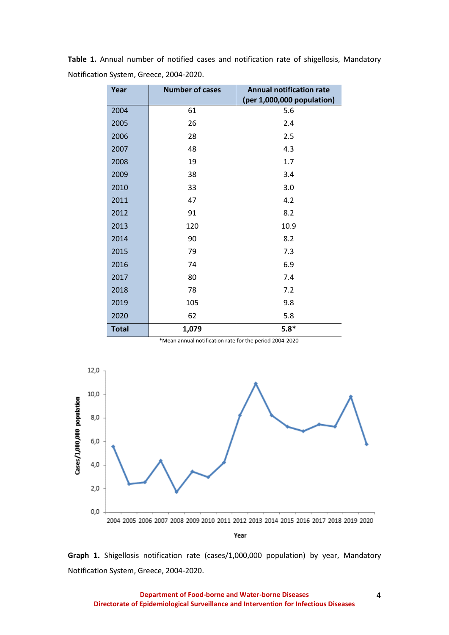| Year         | <b>Number of cases</b> | <b>Annual notification rate</b><br>(per 1,000,000 population) |  |  |
|--------------|------------------------|---------------------------------------------------------------|--|--|
| 2004         | 61                     | 5.6                                                           |  |  |
| 2005         | 26                     | 2.4                                                           |  |  |
| 2006         | 28                     | 2.5                                                           |  |  |
| 2007         | 48                     | 4.3                                                           |  |  |
| 2008         | 19                     | 1.7                                                           |  |  |
| 2009         | 38                     | 3.4                                                           |  |  |
| 2010         | 33                     | 3.0                                                           |  |  |
| 2011         | 47                     | 4.2                                                           |  |  |
| 2012         | 91                     | 8.2                                                           |  |  |
| 2013         | 120                    | 10.9                                                          |  |  |
| 2014         | 90                     | 8.2                                                           |  |  |
| 2015         | 79                     | 7.3                                                           |  |  |
| 2016         | 74                     | 6.9                                                           |  |  |
| 2017         | 80                     | 7.4                                                           |  |  |
| 2018         | 78                     | 7.2                                                           |  |  |
| 2019         | 105                    | 9.8                                                           |  |  |
| 2020         | 62                     | 5.8                                                           |  |  |
| <b>Total</b> | 1,079                  | $5.8*$                                                        |  |  |

**Table 1.** Annual number of notified cases and notification rate of shigellosis, Mandatory Notification System, Greece, 2004-2020.

 <sup>\*</sup>Mean annual notification rate for the period 2004-2020



**Graph 1.** Shigellosis notification rate (cases/1,000,000 population) by year, Mandatory Notification System, Greece, 2004-2020.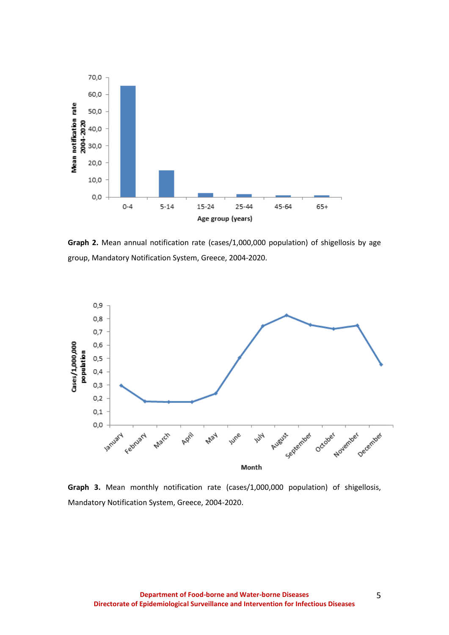

**Graph 2.** Mean annual notification rate (cases/1,000,000 population) of shigellosis by age group, Mandatory Notification System, Greece, 2004-2020.



**Graph 3.** Mean monthly notification rate (cases/1,000,000 population) of shigellosis, Mandatory Notification System, Greece, 2004-2020.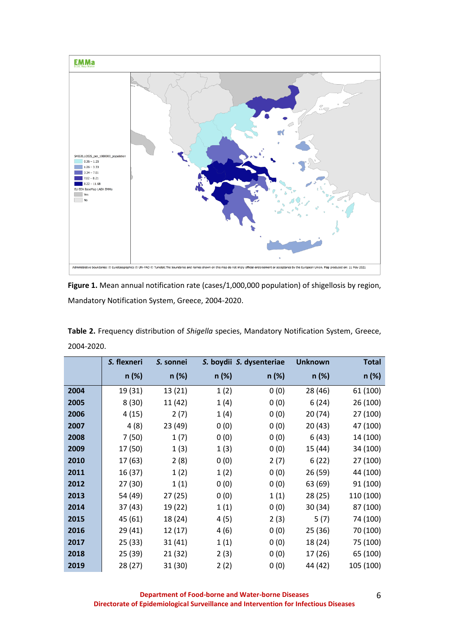

**Figure 1.** Mean annual notification rate (cases/1,000,000 population) of shigellosis by region, Mandatory Notification System, Greece, 2004-2020.

| Table 2. Frequency distribution of Shigella species, Mandatory Notification System, Greece, |  |
|---------------------------------------------------------------------------------------------|--|
| 2004-2020.                                                                                  |  |

|      | S. flexneri | S. sonnei |          | S. boydii S. dysenteriae | <b>Unknown</b> | <b>Total</b> |
|------|-------------|-----------|----------|--------------------------|----------------|--------------|
|      | n (%)       | $n$ (%)   | $n (\%)$ | n (%)                    | n (%)          | n (%)        |
| 2004 | 19 (31)     | 13(21)    | 1(2)     | 0(0)                     | 28 (46)        | 61 (100)     |
| 2005 | 8(30)       | 11 (42)   | 1(4)     | 0(0)                     | 6(24)          | 26 (100)     |
| 2006 | 4(15)       | 2(7)      | 1(4)     | 0(0)                     | 20 (74)        | 27 (100)     |
| 2007 | 4(8)        | 23 (49)   | 0(0)     | 0(0)                     | 20 (43)        | 47 (100)     |
| 2008 | 7(50)       | 1(7)      | 0(0)     | 0(0)                     | 6(43)          | 14 (100)     |
| 2009 | 17 (50)     | 1(3)      | 1(3)     | 0(0)                     | 15 (44)        | 34 (100)     |
| 2010 | 17 (63)     | 2(8)      | 0(0)     | 2(7)                     | 6(22)          | 27 (100)     |
| 2011 | 16 (37)     | 1(2)      | 1(2)     | 0(0)                     | 26 (59)        | 44 (100)     |
| 2012 | 27 (30)     | 1(1)      | 0(0)     | 0(0)                     | 63 (69)        | 91 (100)     |
| 2013 | 54 (49)     | 27(25)    | 0(0)     | 1(1)                     | 28 (25)        | 110 (100)    |
| 2014 | 37 (43)     | 19 (22)   | 1(1)     | 0(0)                     | 30 (34)        | 87 (100)     |
| 2015 | 45 (61)     | 18 (24)   | 4(5)     | 2(3)                     | 5(7)           | 74 (100)     |
| 2016 | 29 (41)     | 12(17)    | 4(6)     | 0(0)                     | 25 (36)        | 70 (100)     |
| 2017 | 25 (33)     | 31(41)    | 1(1)     | 0(0)                     | 18 (24)        | 75 (100)     |
| 2018 | 25 (39)     | 21(32)    | 2(3)     | 0(0)                     | 17 (26)        | 65 (100)     |
| 2019 | 28 (27)     | 31(30)    | 2(2)     | 0(0)                     | 44 (42)        | 105 (100)    |